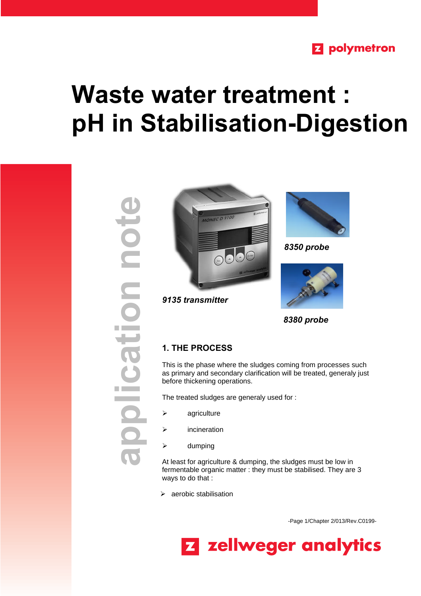# **Z** polymetron

# **Waste water treatment : pH in Stabilisation-Digestion**

**application noteHoation** 



*9135 transmitter*



*8350 probe*



 *8380 probe*

## **1. THE PROCESS**

This is the phase where the sludges coming from processes such as primary and secondary clarification will be treated, generaly just before thickening operations.

The treated sludges are generaly used for :

- $\triangleright$  agriculture
- $\triangleright$  incineration
- $\triangleright$  dumping

At least for agriculture & dumping, the sludges must be low in fermentable organic matter : they must be stabilised. They are 3 ways to do that :

 $\triangleright$  aerobic stabilisation

-Page 1/Chapter 2/013/Rev.C0199-

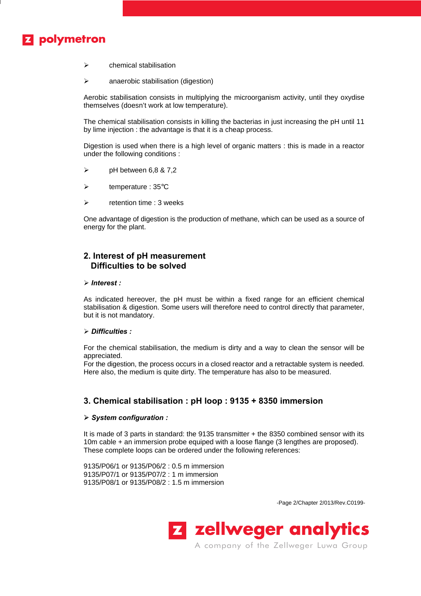# **Z** polymetron

- $\triangleright$  chemical stabilisation
- $\triangleright$  anaerobic stabilisation (digestion)

Aerobic stabilisation consists in multiplying the microorganism activity, until they oxydise themselves (doesn't work at low temperature).

The chemical stabilisation consists in killing the bacterias in just increasing the pH until 11 by lime injection : the advantage is that it is a cheap process.

Digestion is used when there is a high level of organic matters : this is made in a reactor under the following conditions :

- $\triangleright$  pH between 6,8 & 7,2
- $\triangleright$  temperature : 35 $\degree$ C
- $\triangleright$  retention time : 3 weeks

One advantage of digestion is the production of methane, which can be used as a source of energy for the plant.

### **2. Interest of pH measurement Difficulties to be solved**

#### ÿ *Interest :*

As indicated hereover, the pH must be within a fixed range for an efficient chemical stabilisation & digestion. Some users will therefore need to control directly that parameter, but it is not mandatory.

#### ÿ *Difficulties :*

For the chemical stabilisation, the medium is dirty and a way to clean the sensor will be appreciated.

For the digestion, the process occurs in a closed reactor and a retractable system is needed. Here also, the medium is quite dirty. The temperature has also to be measured.

#### **3. Chemical stabilisation : pH loop : 9135 + 8350 immersion**

#### **ÿ** *System configuration :*

It is made of 3 parts in standard: the 9135 transmitter + the 8350 combined sensor with its 10m cable + an immersion probe equiped with a loose flange (3 lengthes are proposed). These complete loops can be ordered under the following references:

9135/P06/1 or 9135/P06/2 : 0.5 m immersion 9135/P07/1 or 9135/P07/2 : 1 m immersion 9135/P08/1 or 9135/P08/2 : 1.5 m immersion

-Page 2/Chapter 2/013/Rev.C0199-



A company of the Zellweger Luwa Group